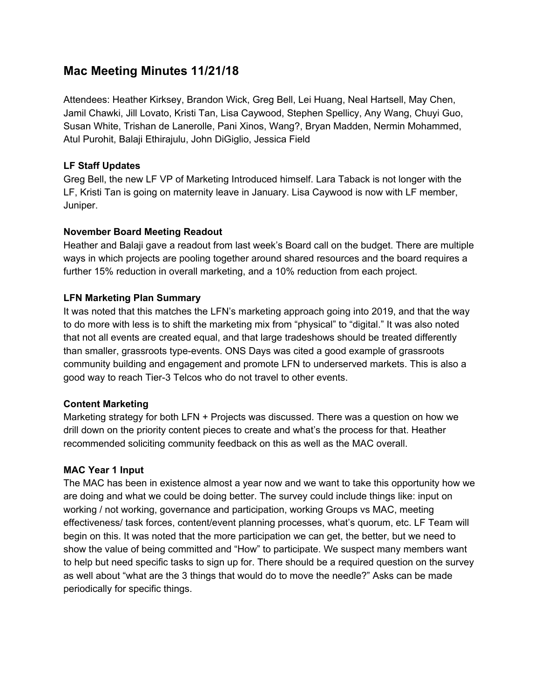# **Mac Meeting Minutes 11/21/18**

Attendees: Heather Kirksey, Brandon Wick, Greg Bell, Lei Huang, Neal Hartsell, May Chen, Jamil Chawki, Jill Lovato, Kristi Tan, Lisa Caywood, Stephen Spellicy, Any Wang, Chuyi Guo, Susan White, Trishan de Lanerolle, Pani Xinos, Wang?, Bryan Madden, Nermin Mohammed, Atul Purohit, Balaji Ethirajulu, John DiGiglio, Jessica Field

## **LF Staff Updates**

Greg Bell, the new LF VP of Marketing Introduced himself. Lara Taback is not longer with the LF, Kristi Tan is going on maternity leave in January. Lisa Caywood is now with LF member, Juniper.

### **November Board Meeting Readout**

Heather and Balaji gave a readout from last week's Board call on the budget. There are multiple ways in which projects are pooling together around shared resources and the board requires a further 15% reduction in overall marketing, and a 10% reduction from each project.

## **LFN Marketing Plan Summary**

It was noted that this matches the LFN's marketing approach going into 2019, and that the way to do more with less is to shift the marketing mix from "physical" to "digital." It was also noted that not all events are created equal, and that large tradeshows should be treated differently than smaller, grassroots type-events. ONS Days was cited a good example of grassroots community building and engagement and promote LFN to underserved markets. This is also a good way to reach Tier-3 Telcos who do not travel to other events.

### **Content Marketing**

Marketing strategy for both LFN + Projects was discussed. There was a question on how we drill down on the priority content pieces to create and what's the process for that. Heather recommended soliciting community feedback on this as well as the MAC overall.

### **MAC Year 1 Input**

The MAC has been in existence almost a year now and we want to take this opportunity how we are doing and what we could be doing better. The survey could include things like: input on working / not working, governance and participation, working Groups vs MAC, meeting effectiveness/ task forces, content/event planning processes, what's quorum, etc. LF Team will begin on this. It was noted that the more participation we can get, the better, but we need to show the value of being committed and "How" to participate. We suspect many members want to help but need specific tasks to sign up for. There should be a required question on the survey as well about "what are the 3 things that would do to move the needle?" Asks can be made periodically for specific things.